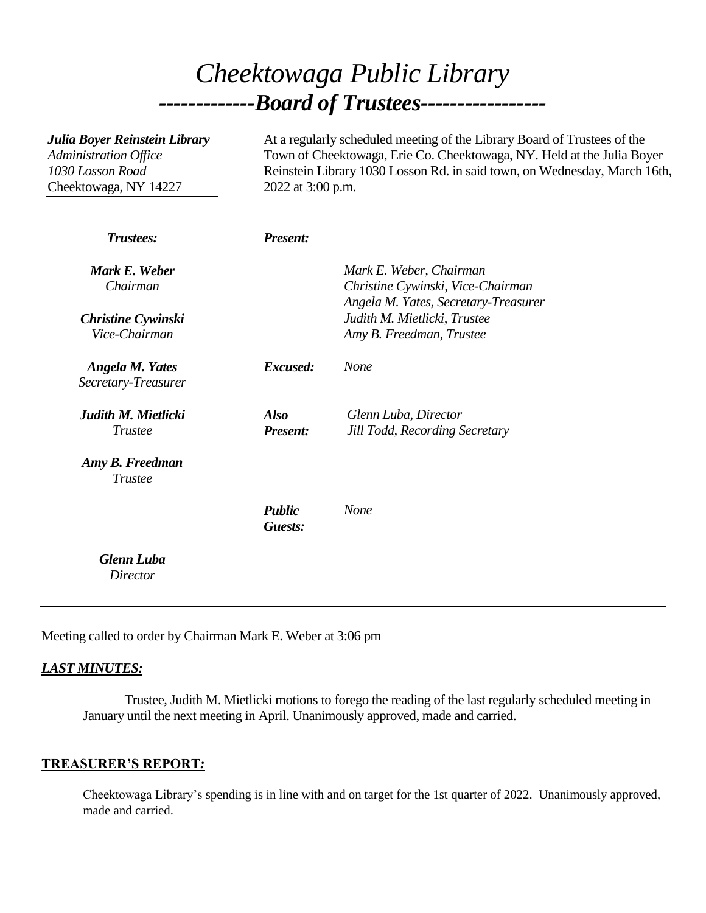# *Cheektowaga Public Library -------------Board of Trustees-----------------*

| Julia Boyer Reinstein Library<br>Administration Office<br>1030 Losson Road<br>Cheektowaga, NY 14227 | At a regularly scheduled meeting of the Library Board of Trustees of the<br>Town of Cheektowaga, Erie Co. Cheektowaga, NY. Held at the Julia Boyer<br>Reinstein Library 1030 Losson Rd. in said town, on Wednesday, March 16th,<br>2022 at 3:00 p.m. |                                                                                                  |
|-----------------------------------------------------------------------------------------------------|------------------------------------------------------------------------------------------------------------------------------------------------------------------------------------------------------------------------------------------------------|--------------------------------------------------------------------------------------------------|
| Trustees:                                                                                           | <b>Present:</b>                                                                                                                                                                                                                                      |                                                                                                  |
| Mark E. Weber<br>Chairman                                                                           |                                                                                                                                                                                                                                                      | Mark E. Weber, Chairman<br>Christine Cywinski, Vice-Chairman                                     |
| <b>Christine Cywinski</b><br>Vice-Chairman                                                          |                                                                                                                                                                                                                                                      | Angela M. Yates, Secretary-Treasurer<br>Judith M. Mietlicki, Trustee<br>Amy B. Freedman, Trustee |
| <b>Angela M. Yates</b><br>Secretary-Treasurer                                                       | Excused:                                                                                                                                                                                                                                             | <b>None</b>                                                                                      |
| Judith M. Mietlicki<br><b>Trustee</b>                                                               | <b>Also</b><br><b>Present:</b>                                                                                                                                                                                                                       | Glenn Luba, Director<br>Jill Todd, Recording Secretary                                           |
| Amy B. Freedman<br><b>Trustee</b>                                                                   |                                                                                                                                                                                                                                                      |                                                                                                  |
|                                                                                                     | <b>Public</b><br>Guests:                                                                                                                                                                                                                             | None                                                                                             |
| <b>Glenn Luba</b><br><b>Director</b>                                                                |                                                                                                                                                                                                                                                      |                                                                                                  |

Meeting called to order by Chairman Mark E. Weber at 3:06 pm

#### *LAST MINUTES:*

Trustee, Judith M. Mietlicki motions to forego the reading of the last regularly scheduled meeting in January until the next meeting in April. Unanimously approved, made and carried.

#### **TREASURER'S REPORT***:*

Cheektowaga Library's spending is in line with and on target for the 1st quarter of 2022. Unanimously approved, made and carried.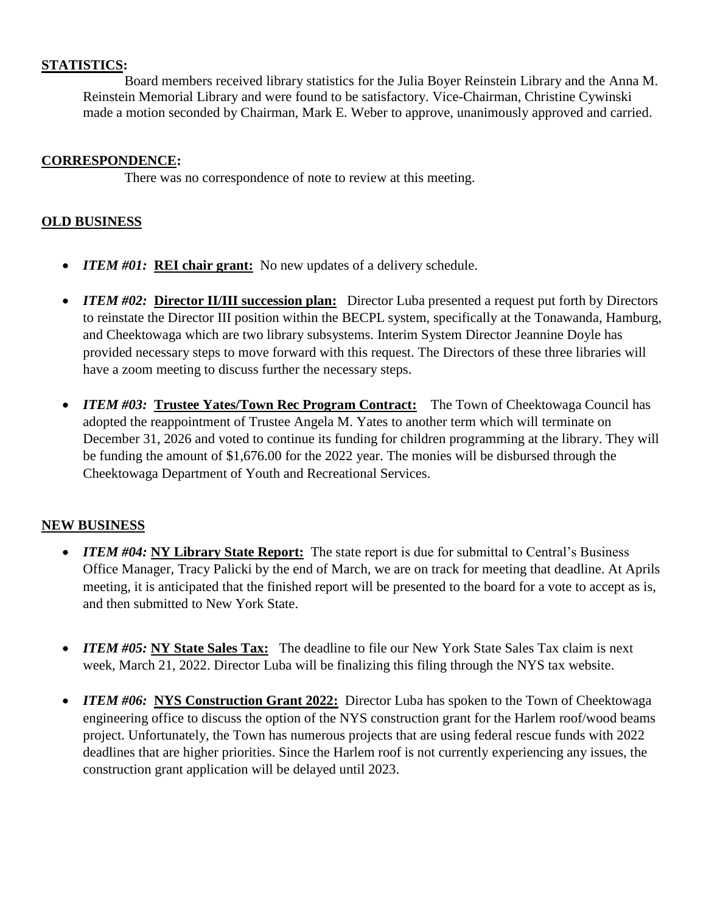#### **STATISTICS:**

Board members received library statistics for the Julia Boyer Reinstein Library and the Anna M. Reinstein Memorial Library and were found to be satisfactory. Vice-Chairman, Christine Cywinski made a motion seconded by Chairman, Mark E. Weber to approve, unanimously approved and carried.

#### **CORRESPONDENCE:**

There was no correspondence of note to review at this meeting.

#### **OLD BUSINESS**

- *ITEM #01:* **REI chair grant:** No new updates of a delivery schedule.
- *ITEM #02:* **Director II/III succession plan:** Director Luba presented a request put forth by Directors to reinstate the Director III position within the BECPL system, specifically at the Tonawanda, Hamburg, and Cheektowaga which are two library subsystems. Interim System Director Jeannine Doyle has provided necessary steps to move forward with this request. The Directors of these three libraries will have a zoom meeting to discuss further the necessary steps.
- *ITEM #03:* **Trustee Yates/Town Rec Program Contract:** The Town of Cheektowaga Council has adopted the reappointment of Trustee Angela M. Yates to another term which will terminate on December 31, 2026 and voted to continue its funding for children programming at the library. They will be funding the amount of \$1,676.00 for the 2022 year. The monies will be disbursed through the Cheektowaga Department of Youth and Recreational Services.

### **NEW BUSINESS**

- *ITEM #04*: **NY Library State Report:** The state report is due for submittal to Central's Business Office Manager, Tracy Palicki by the end of March, we are on track for meeting that deadline. At Aprils meeting, it is anticipated that the finished report will be presented to the board for a vote to accept as is, and then submitted to New York State.
- *ITEM #05:* **NY State Sales Tax:** The deadline to file our New York State Sales Tax claim is next week, March 21, 2022. Director Luba will be finalizing this filing through the NYS tax website.
- *ITEM #06:* **NYS Construction Grant 2022:** Director Luba has spoken to the Town of Cheektowaga engineering office to discuss the option of the NYS construction grant for the Harlem roof/wood beams project. Unfortunately, the Town has numerous projects that are using federal rescue funds with 2022 deadlines that are higher priorities. Since the Harlem roof is not currently experiencing any issues, the construction grant application will be delayed until 2023.